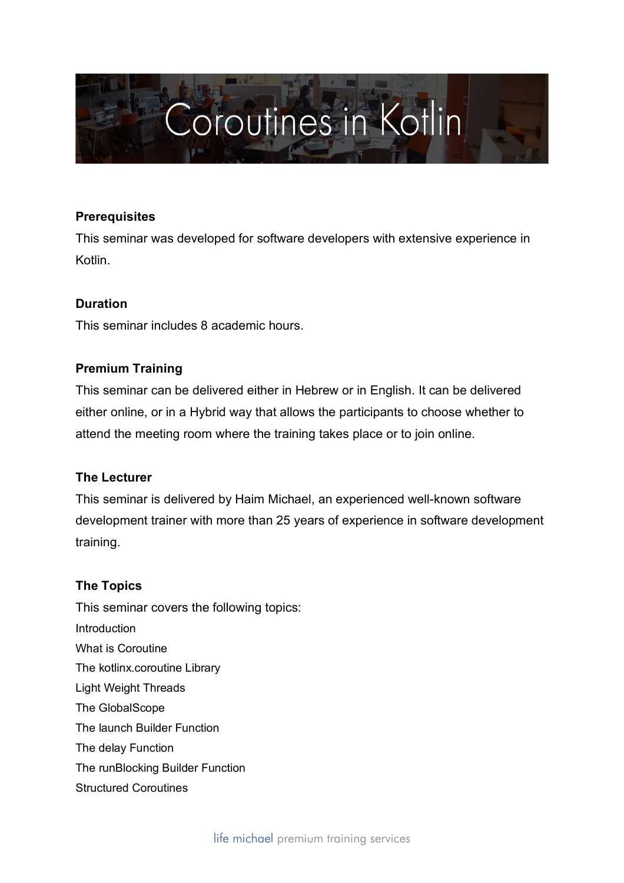

### **Prerequisites**

This seminar was developed for software developers with extensive experience in Kotlin.

# **Duration**

This seminar includes 8 academic hours.

### **Premium Training**

This seminar can be delivered either in Hebrew or in English. It can be delivered either online, or in a Hybrid way that allows the participants to choose whether to attend the meeting room where the training takes place or to join online.

# **The Lecturer**

This seminar is delivered by Haim Michael, an experienced well-known software development trainer with more than 25 years of experience in software development training.

#### **The Topics**

This seminar covers the following topics: Introduction What is Coroutine The kotlinx.coroutine Library Light Weight Threads The GlobalScope The launch Builder Function The delay Function The runBlocking Builder Function Structured Coroutines